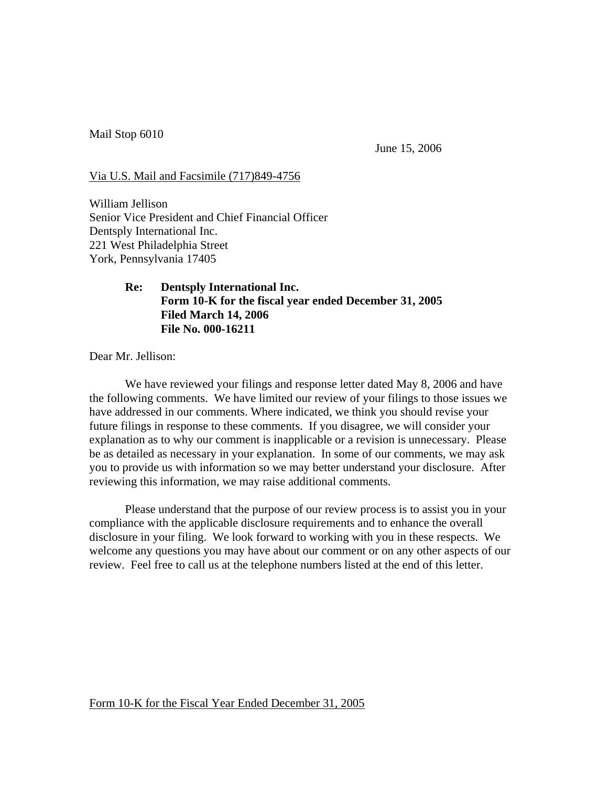Mail Stop 6010

June 15, 2006

Via U.S. Mail and Facsimile (717)849-4756

William Jellison Senior Vice President and Chief Financial Officer Dentsply International Inc. 221 West Philadelphia Street York, Pennsylvania 17405

## **Re: Dentsply International Inc. Form 10-K for the fiscal year ended December 31, 2005 Filed March 14, 2006 File No. 000-16211**

Dear Mr. Jellison:

We have reviewed your filings and response letter dated May 8, 2006 and have the following comments. We have limited our review of your filings to those issues we have addressed in our comments. Where indicated, we think you should revise your future filings in response to these comments. If you disagree, we will consider your explanation as to why our comment is inapplicable or a revision is unnecessary. Please be as detailed as necessary in your explanation. In some of our comments, we may ask you to provide us with information so we may better understand your disclosure. After reviewing this information, we may raise additional comments.

Please understand that the purpose of our review process is to assist you in your compliance with the applicable disclosure requirements and to enhance the overall disclosure in your filing. We look forward to working with you in these respects. We welcome any questions you may have about our comment or on any other aspects of our review. Feel free to call us at the telephone numbers listed at the end of this letter.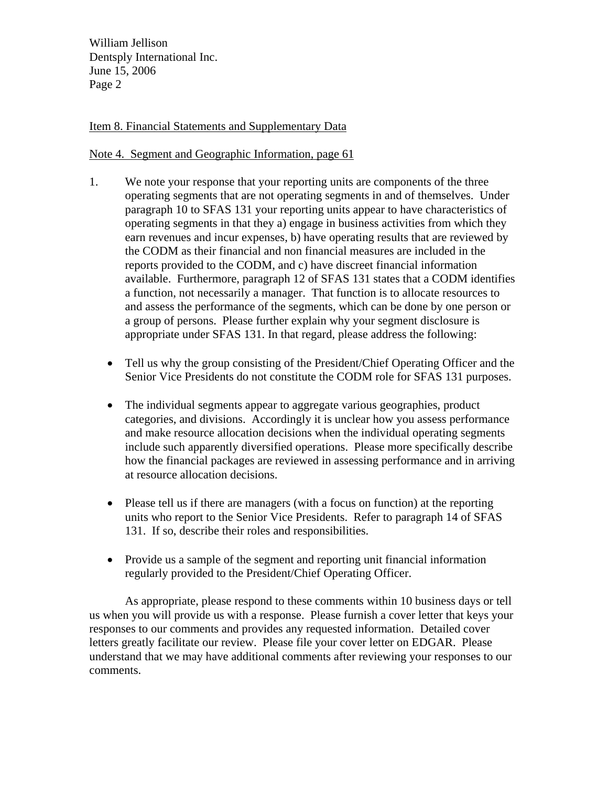William Jellison Dentsply International Inc. June 15, 2006 Page 2

## Item 8. Financial Statements and Supplementary Data

## Note 4. Segment and Geographic Information, page 61

- 1. We note your response that your reporting units are components of the three operating segments that are not operating segments in and of themselves. Under paragraph 10 to SFAS 131 your reporting units appear to have characteristics of operating segments in that they a) engage in business activities from which they earn revenues and incur expenses, b) have operating results that are reviewed by the CODM as their financial and non financial measures are included in the reports provided to the CODM, and c) have discreet financial information available. Furthermore, paragraph 12 of SFAS 131 states that a CODM identifies a function, not necessarily a manager. That function is to allocate resources to and assess the performance of the segments, which can be done by one person or a group of persons. Please further explain why your segment disclosure is appropriate under SFAS 131. In that regard, please address the following:
	- Tell us why the group consisting of the President/Chief Operating Officer and the Senior Vice Presidents do not constitute the CODM role for SFAS 131 purposes.
	- The individual segments appear to aggregate various geographies, product categories, and divisions. Accordingly it is unclear how you assess performance and make resource allocation decisions when the individual operating segments include such apparently diversified operations. Please more specifically describe how the financial packages are reviewed in assessing performance and in arriving at resource allocation decisions.
	- Please tell us if there are managers (with a focus on function) at the reporting units who report to the Senior Vice Presidents. Refer to paragraph 14 of SFAS 131. If so, describe their roles and responsibilities.
	- Provide us a sample of the segment and reporting unit financial information regularly provided to the President/Chief Operating Officer.

As appropriate, please respond to these comments within 10 business days or tell us when you will provide us with a response. Please furnish a cover letter that keys your responses to our comments and provides any requested information. Detailed cover letters greatly facilitate our review. Please file your cover letter on EDGAR. Please understand that we may have additional comments after reviewing your responses to our comments.